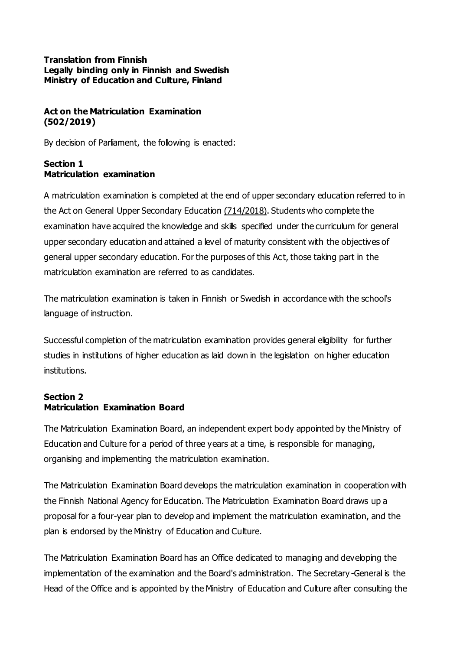#### **Translation from Finnish Legally binding only in Finnish and Swedish Ministry of Education and Culture, Finland**

# **Act on the Matriculation Examination (502/2019)**

By decision of Parliament, the following is enacted:

## **Section 1 Matriculation examination**

A matriculation examination is completed at the end of upper secondary education referred to in the Act on General Upper Secondary Educatio[n \(714/2018\)](https://www.finlex.fi/fi/laki/ajantasa/2018/20180714). Students who complete the examination have acquired the knowledge and skills specified under the curriculum for general upper secondary education and attained a level of maturity consistent with the objectives of general upper secondary education. For the purposes of this Act, those taking part in the matriculation examination are referred to as candidates.

The matriculation examination is taken in Finnish or Swedish in accordance with the school's language of instruction.

Successful completion of the matriculation examination provides general eligibility for further studies in institutions of higher education as laid down in the legislation on higher education institutions.

## **Section 2 Matriculation Examination Board**

The Matriculation Examination Board, an independent expert body appointed by the Ministry of Education and Culture for a period of three years at a time, is responsible for managing, organising and implementing the matriculation examination.

The Matriculation Examination Board develops the matriculation examination in cooperation with the Finnish National Agency for Education. The Matriculation Examination Board draws up a proposal for a four-year plan to develop and implement the matriculation examination, and the plan is endorsed by the Ministry of Education and Culture.

The Matriculation Examination Board has an Office dedicated to managing and developing the implementation of the examination and the Board's administration. The Secretary -General is the Head of the Office and is appointed by the Ministry of Education and Culture after consulting the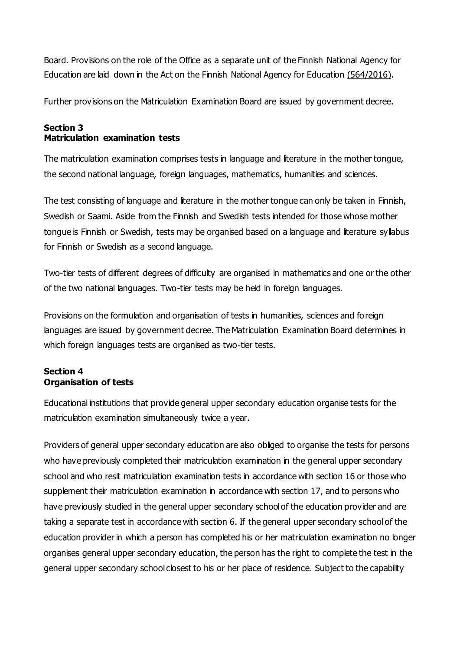Board. Provisions on the role of the Office as a separate unit of the Finnish National Agency for Education are laid down in the Act on the Finnish National Agency for Education (564/2016).

Further provisions on the Matriculation Examination Board are issued by government decree.

### **Section 3 Matriculation examination tests**

The matriculation examination comprises tests in language and literature in the mother tongue, the second national language, foreign languages, mathematics, humanities and sciences.

The test consisting of language and literature in the mother tongue can only be taken in Finnish, Swedish or Saami. Aside from the Finnish and Swedish tests intended for those whose mother tongue is Finnish or Swedish, tests may be organised based on a language and literature syllabus for Finnish or Swedish as a second language.

Two-tier tests of different degrees of difficulty are organised in mathematics and one or the other of the two national languages. Two-tier tests may be held in foreign languages.

Provisions on the formulation and organisation of tests in humanities, sciences and foreign languages are issued by government decree. The Matriculation Examination Board determines in which foreign languages tests are organised as two-tier tests.

# **Section 4 Organisation of tests**

Educational institutions that provide general upper secondary education organise tests for the matriculation examination simultaneously twice a year.

Providers of general upper secondary education are also obliged to organise the tests for persons who have previously completed their matriculation examination in the general upper secondary school and who resit matriculation examination tests in accordance with section 16 or those who supplement their matriculation examination in accordance with section 17, and to persons who have previously studied in the general upper secondary school of the education provider and are taking a separate test in accordance with section 6. If the general upper secondary school of the education provider in which a person has completed his or her matriculation examination no longer organises general upper secondary education, the person has the right to complete the test in the general upper secondary school closest to his or her place of residence. Subject to the capability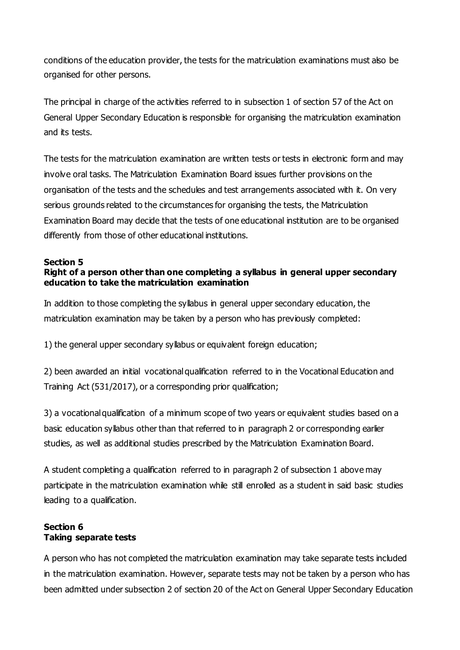conditions of the education provider, the tests for the matriculation examinations must also be organised for other persons.

The principal in charge of the activities referred to in subsection 1 of section 57 of the Act on General Upper Secondary Education is responsible for organising the matriculation examination and its tests.

The tests for the matriculation examination are written tests or tests in electronic form and may involve oral tasks. The Matriculation Examination Board issues further provisions on the organisation of the tests and the schedules and test arrangements associated with it. On very serious grounds related to the circumstances for organising the tests, the Matriculation Examination Board may decide that the tests of one educational institution are to be organised differently from those of other educational institutions.

#### **Section 5 Right of a person other than one completing a syllabus in general upper secondary education to take the matriculation examination**

In addition to those completing the syllabus in general upper secondary education, the matriculation examination may be taken by a person who has previously completed:

1) the general upper secondary syllabus or equivalent foreign education;

2) been awarded an initial vocational qualification referred to in the Vocational Education and Training Act (531/2017), or a corresponding prior qualification;

3) a vocational qualification of a minimum scope of two years or equivalent studies based on a basic education syllabus other than that referred to in paragraph 2 or corresponding earlier studies, as well as additional studies prescribed by the Matriculation Examination Board.

A student completing a qualification referred to in paragraph 2 of subsection 1 above may participate in the matriculation examination while still enrolled as a student in said basic studies leading to a qualification.

### **Section 6 Taking separate tests**

A person who has not completed the matriculation examination may take separate tests included in the matriculation examination. However, separate tests may not be taken by a person who has been admitted under subsection 2 of section 20 of the Act on General Upper Secondary Education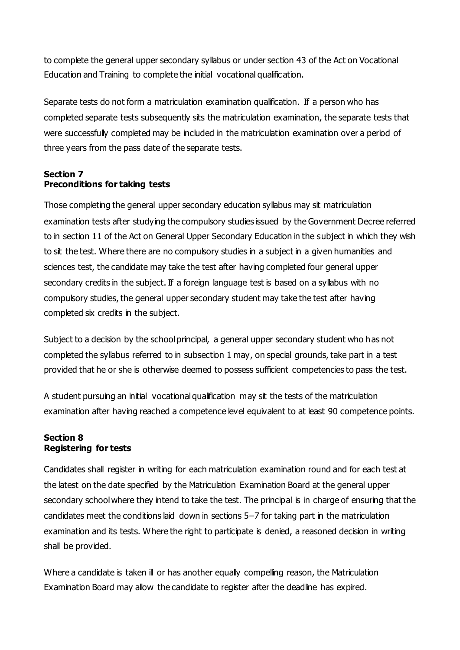to complete the general upper secondary syllabus or under section 43 of the Act on Vocational Education and Training to complete the initial vocational qualification.

Separate tests do not form a matriculation examination qualification. If a person who has completed separate tests subsequently sits the matriculation examination, the separate tests that were successfully completed may be included in the matriculation examination over a period of three years from the pass date of the separate tests.

## **Section 7 Preconditions for taking tests**

Those completing the general upper secondary education syllabus may sit matriculation examination tests after studying the compulsory studies issued by the Government Decree referred to in section 11 of the Act on General Upper Secondary Education in the subject in which they wish to sit the test. Where there are no compulsory studies in a subject in a given humanities and sciences test, the candidate may take the test after having completed four general upper secondary credits in the subject. If a foreign language test is based on a syllabus with no compulsory studies, the general upper secondary student may take the test after having completed six credits in the subject.

Subject to a decision by the school principal, a general upper secondary student who has not completed the syllabus referred to in subsection 1 may, on special grounds, take part in a test provided that he or she is otherwise deemed to possess sufficient competencies to pass the test.

A student pursuing an initial vocational qualification may sit the tests of the matriculation examination after having reached a competence level equivalent to at least 90 competence points.

## **Section 8 Registering for tests**

Candidates shall register in writing for each matriculation examination round and for each test at the latest on the date specified by the Matriculation Examination Board at the general upper secondary school where they intend to take the test. The principal is in charge of ensuring that the candidates meet the conditions laid down in sections 5–7 for taking part in the matriculation examination and its tests. Where the right to participate is denied, a reasoned decision in writing shall be provided.

Where a candidate is taken ill or has another equally compelling reason, the Matriculation Examination Board may allow the candidate to register after the deadline has expired.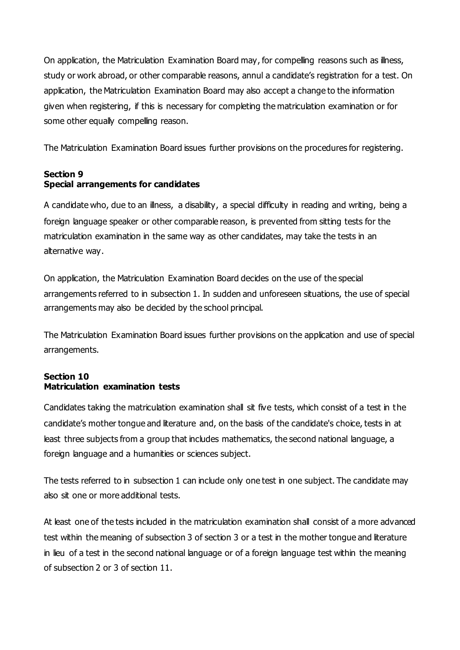On application, the Matriculation Examination Board may, for compelling reasons such as illness, study or work abroad, or other comparable reasons, annul a candidate's registration for a test. On application, the Matriculation Examination Board may also accept a change to the information given when registering, if this is necessary for completing the matriculation examination or for some other equally compelling reason.

The Matriculation Examination Board issues further provisions on the procedures for registering.

## **Section 9 Special arrangements for candidates**

A candidate who, due to an illness, a disability, a special difficulty in reading and writing, being a foreign language speaker or other comparable reason, is prevented from sitting tests for the matriculation examination in the same way as other candidates, may take the tests in an alternative way.

On application, the Matriculation Examination Board decides on the use of the special arrangements referred to in subsection 1. In sudden and unforeseen situations, the use of special arrangements may also be decided by the school principal.

The Matriculation Examination Board issues further provisions on the application and use of special arrangements.

### **Section 10 Matriculation examination tests**

Candidates taking the matriculation examination shall sit five tests, which consist of a test in the candidate's mother tongue and literature and, on the basis of the candidate's choice, tests in at least three subjects from a group that includes mathematics, the second national language, a foreign language and a humanities or sciences subject.

The tests referred to in subsection 1 can include only one test in one subject. The candidate may also sit one or more additional tests.

At least one of the tests included in the matriculation examination shall consist of a more advanced test within the meaning of subsection 3 of section 3 or a test in the mother tongue and literature in lieu of a test in the second national language or of a foreign language test within the meaning of subsection 2 or 3 of section 11.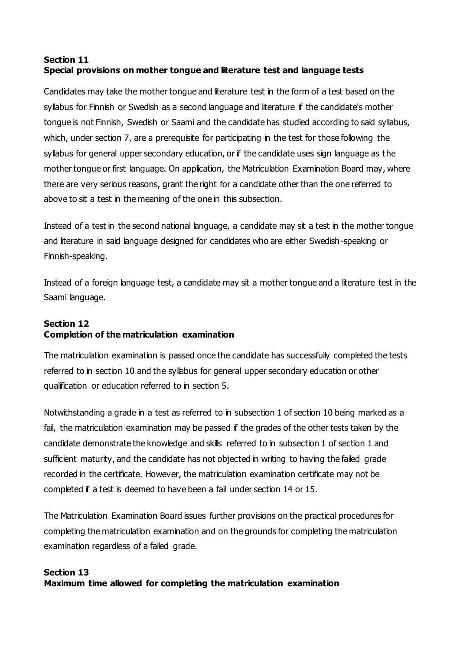# **Section 11 Special provisions on mother tongue and literature test and language tests**

Candidates may take the mother tongue and literature test in the form of a test based on the syllabus for Finnish or Swedish as a second language and literature if the candidate's mother tongue is not Finnish, Swedish or Saami and the candidate has studied according to said syllabus, which, under section 7, are a prerequisite for participating in the test for those following the syllabus for general upper secondary education, or if the candidate uses sign language as the mother tongue or first language. On application, the Matriculation Examination Board may, where there are very serious reasons, grant the right for a candidate other than the one referred to above to sit a test in the meaning of the one in this subsection.

Instead of a test in the second national language, a candidate may sit a test in the mother tongue and literature in said language designed for candidates who are either Swedish-speaking or Finnish-speaking.

Instead of a foreign language test, a candidate may sit a mother tongue and a literature test in the Saami language.

# **Section 12 Completion of the matriculation examination**

The matriculation examination is passed once the candidate has successfully completed the tests referred to in section 10 and the syllabus for general upper secondary education or other qualification or education referred to in section 5.

Notwithstanding a grade in a test as referred to in subsection 1 of section 10 being marked as a fail, the matriculation examination may be passed if the grades of the other tests taken by the candidate demonstrate the knowledge and skills referred to in subsection 1 of section 1 and sufficient maturity, and the candidate has not objected in writing to having the failed grade recorded in the certificate. However, the matriculation examination certificate may not be completed if a test is deemed to have been a fail under section 14 or 15.

The Matriculation Examination Board issues further provisions on the practical procedures for completing the matriculation examination and on the grounds for completing the matriculation examination regardless of a failed grade.

## **Section 13 Maximum time allowed for completing the matriculation examination**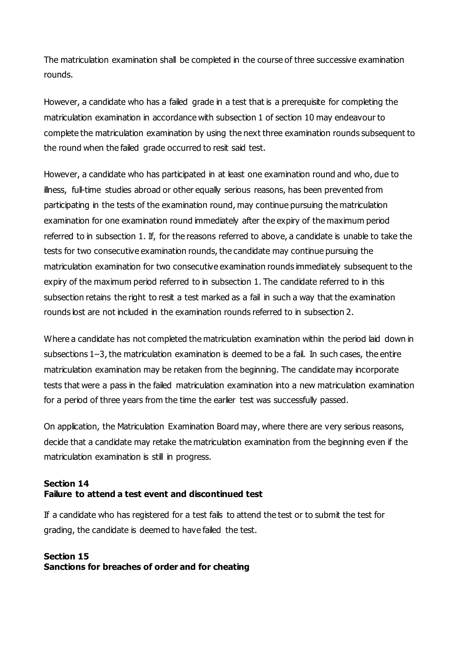The matriculation examination shall be completed in the course of three successive examination rounds.

However, a candidate who has a failed grade in a test that is a prerequisite for completing the matriculation examination in accordance with subsection 1 of section 10 may endeavour to complete the matriculation examination by using the next three examination rounds subsequent to the round when the failed grade occurred to resit said test.

However, a candidate who has participated in at least one examination round and who, due to illness, full-time studies abroad or other equally serious reasons, has been prevented from participating in the tests of the examination round, may continue pursuing the matriculation examination for one examination round immediately after the expiry of the maximum period referred to in subsection 1. If, for the reasons referred to above, a candidate is unable to take the tests for two consecutive examination rounds, the candidate may continue pursuing the matriculation examination for two consecutive examination rounds immediately subsequent to the expiry of the maximum period referred to in subsection 1. The candidate referred to in this subsection retains the right to resit a test marked as a fail in such a way that the examination rounds lost are not included in the examination rounds referred to in subsection 2.

Where a candidate has not completed the matriculation examination within the period laid down in subsections 1–3, the matriculation examination is deemed to be a fail. In such cases, the entire matriculation examination may be retaken from the beginning. The candidate may incorporate tests that were a pass in the failed matriculation examination into a new matriculation examination for a period of three years from the time the earlier test was successfully passed.

On application, the Matriculation Examination Board may, where there are very serious reasons, decide that a candidate may retake the matriculation examination from the beginning even if the matriculation examination is still in progress.

### **Section 14 Failure to attend a test event and discontinued test**

If a candidate who has registered for a test fails to attend the test or to submit the test for grading, the candidate is deemed to have failed the test.

## **Section 15 Sanctions for breaches of order and for cheating**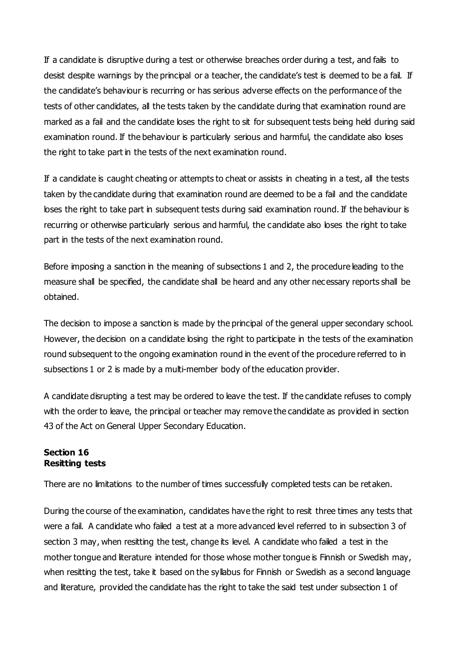If a candidate is disruptive during a test or otherwise breaches order during a test, and fails to desist despite warnings by the principal or a teacher, the candidate's test is deemed to be a fail. If the candidate's behaviour is recurring or has serious adverse effects on the performance of the tests of other candidates, all the tests taken by the candidate during that examination round are marked as a fail and the candidate loses the right to sit for subsequent tests being held during said examination round. If the behaviour is particularly serious and harmful, the candidate also loses the right to take part in the tests of the next examination round.

If a candidate is caught cheating or attempts to cheat or assists in cheating in a test, all the tests taken by the candidate during that examination round are deemed to be a fail and the candidate loses the right to take part in subsequent tests during said examination round. If the behaviour is recurring or otherwise particularly serious and harmful, the candidate also loses the right to take part in the tests of the next examination round.

Before imposing a sanction in the meaning of subsections 1 and 2, the procedure leading to the measure shall be specified, the candidate shall be heard and any other necessary reports shall be obtained.

The decision to impose a sanction is made by the principal of the general upper secondary school. However, the decision on a candidate losing the right to participate in the tests of the examination round subsequent to the ongoing examination round in the event of the procedure referred to in subsections 1 or 2 is made by a multi-member body of the education provider.

A candidate disrupting a test may be ordered to leave the test. If the candidate refuses to comply with the order to leave, the principal or teacher may remove the candidate as provided in section 43 of the Act on General Upper Secondary Education.

## **Section 16 Resitting tests**

There are no limitations to the number of times successfully completed tests can be retaken.

During the course of the examination, candidates have the right to resit three times any tests that were a fail. A candidate who failed a test at a more advanced level referred to in subsection 3 of section 3 may, when resitting the test, change its level. A candidate who failed a test in the mother tongue and literature intended for those whose mother tongue is Finnish or Swedish may, when resitting the test, take it based on the syllabus for Finnish or Swedish as a second language and literature, provided the candidate has the right to take the said test under subsection 1 of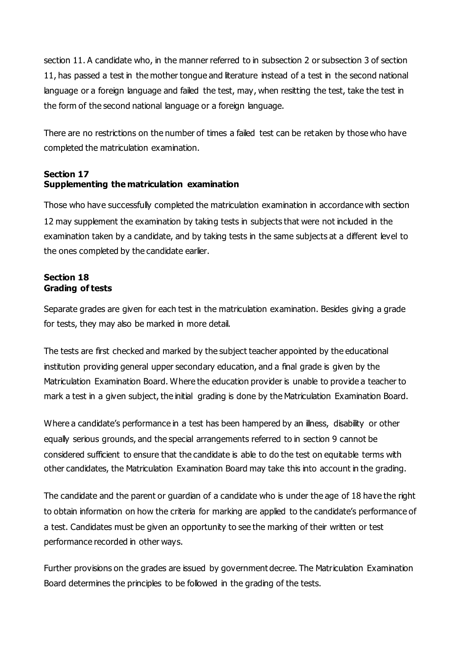section 11. A candidate who, in the manner referred to in subsection 2 or subsection 3 of section 11, has passed a test in the mother tongue and literature instead of a test in the second national language or a foreign language and failed the test, may, when resitting the test, take the test in the form of the second national language or a foreign language.

There are no restrictions on the number of times a failed test can be retaken by those who have completed the matriculation examination.

# **Section 17 Supplementing the matriculation examination**

Those who have successfully completed the matriculation examination in accordance with section 12 may supplement the examination by taking tests in subjects that were not included in the examination taken by a candidate, and by taking tests in the same subjects at a different level to the ones completed by the candidate earlier.

### **Section 18 Grading of tests**

Separate grades are given for each test in the matriculation examination. Besides giving a grade for tests, they may also be marked in more detail.

The tests are first checked and marked by the subject teacher appointed by the educational institution providing general upper secondary education, and a final grade is given by the Matriculation Examination Board. Where the education provider is unable to provide a teacher to mark a test in a given subject, the initial grading is done by the Matriculation Examination Board.

Where a candidate's performance in a test has been hampered by an illness, disability or other equally serious grounds, and the special arrangements referred to in section 9 cannot be considered sufficient to ensure that the candidate is able to do the test on equitable terms with other candidates, the Matriculation Examination Board may take this into account in the grading.

The candidate and the parent or guardian of a candidate who is under the age of 18 have the right to obtain information on how the criteria for marking are applied to the candidate's performance of a test. Candidates must be given an opportunity to see the marking of their written or test performance recorded in other ways.

Further provisions on the grades are issued by government decree. The Matriculation Examination Board determines the principles to be followed in the grading of the tests.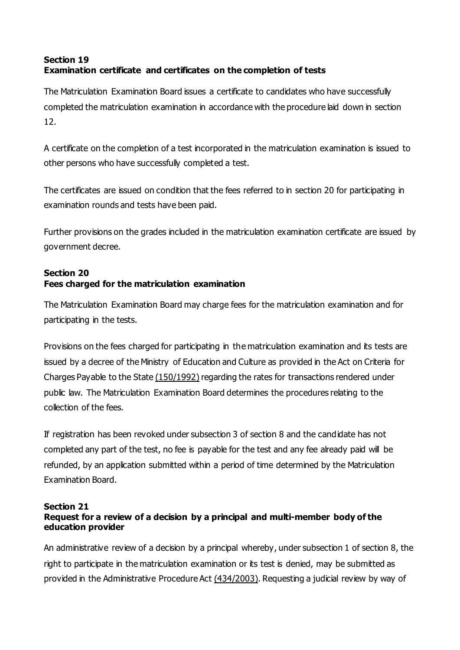# **Section 19 Examination certificate and certificates on the completion of tests**

The Matriculation Examination Board issues a certificate to candidates who have successfully completed the matriculation examination in accordance with the procedure laid down in section 12.

A certificate on the completion of a test incorporated in the matriculation examination is issued to other persons who have successfully completed a test.

The certificates are issued on condition that the fees referred to in section 20 for participating in examination rounds and tests have been paid.

Further provisions on the grades included in the matriculation examination certificate are issued by government decree.

# **Section 20 Fees charged for the matriculation examination**

The Matriculation Examination Board may charge fees for the matriculation examination and for participating in the tests.

Provisions on the fees charged for participating in the matriculation examination and its tests are issued by a decree of the Ministry of Education and Culture as provided in the Act on Criteria for Charges Payable to the State [\(150/1992\)](https://www.finlex.fi/fi/laki/ajantasa/1992/19920150) regarding the rates for transactions rendered under public law. The Matriculation Examination Board determines the procedures relating to the collection of the fees.

If registration has been revoked under subsection 3 of section 8 and the candidate has not completed any part of the test, no fee is payable for the test and any fee already paid will be refunded, by an application submitted within a period of time determined by the Matriculation Examination Board.

#### **Section 21 Request for a review of a decision by a principal and multi-member body of the education provider**

An administrative review of a decision by a principal whereby, under subsection 1 of section 8, the right to participate in the matriculation examination or its test is denied, may be submitted as provided in the Administrative Procedure Act [\(434/2003\)](https://www.finlex.fi/fi/laki/ajantasa/2003/20030434). Requesting a judicial review by way of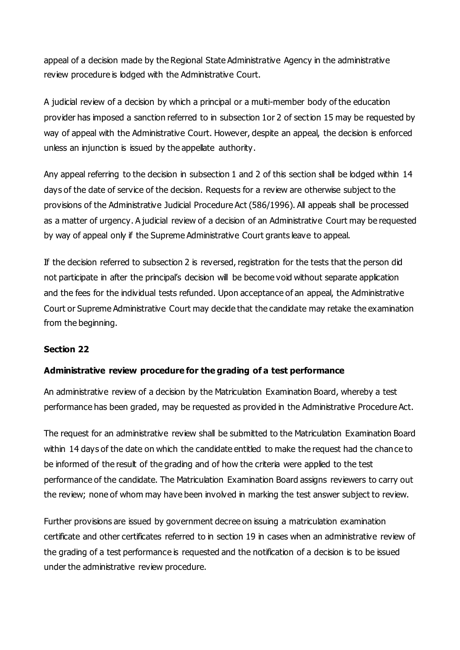appeal of a decision made by the Regional State Administrative Agency in the administrative review procedure is lodged with the Administrative Court.

A judicial review of a decision by which a principal or a multi-member body of the education provider has imposed a sanction referred to in subsection 1or 2 of section 15 may be requested by way of appeal with the Administrative Court. However, despite an appeal, the decision is enforced unless an injunction is issued by the appellate authority.

Any appeal referring to the decision in subsection 1 and 2 of this section shall be lodged within 14 days of the date of service of the decision. Requests for a review are otherwise subject to the provisions of the Administrative Judicial Procedure Act (586/1996). All appeals shall be processed as a matter of urgency. A judicial review of a decision of an Administrative Court may be requested by way of appeal only if the Supreme Administrative Court grants leave to appeal.

If the decision referred to subsection 2 is reversed, registration for the tests that the person did not participate in after the principal's decision will be become void without separate application and the fees for the individual tests refunded. Upon acceptance of an appeal, the Administrative Court or Supreme Administrative Court may decide that the candidate may retake the examination from the beginning.

### **Section 22**

# **Administrative review procedure for the grading of a test performance**

An administrative review of a decision by the Matriculation Examination Board, whereby a test performance has been graded, may be requested as provided in the Administrative Procedure Act.

The request for an administrative review shall be submitted to the Matriculation Examination Board within 14 days of the date on which the candidate entitled to make the request had the chance to be informed of the result of the grading and of how the criteria were applied to the test performance of the candidate. The Matriculation Examination Board assigns reviewers to carry out the review; none of whom may have been involved in marking the test answer subject to review.

Further provisions are issued by government decree on issuing a matriculation examination certificate and other certificates referred to in section 19 in cases when an administrative review of the grading of a test performance is requested and the notification of a decision is to be issued under the administrative review procedure.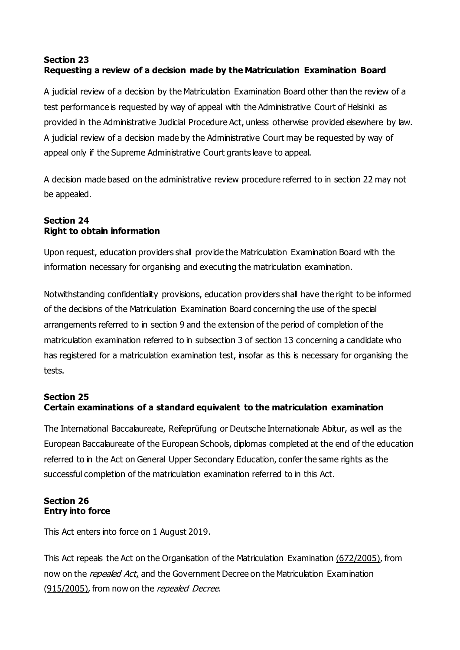# **Section 23 Requesting a review of a decision made by the Matriculation Examination Board**

A judicial review of a decision by the Matriculation Examination Board other than the review of a test performance is requested by way of appeal with the Administrative Court of Helsinki as provided in the Administrative Judicial Procedure Act, unless otherwise provided elsewhere by law. A judicial review of a decision made by the Administrative Court may be requested by way of appeal only if the Supreme Administrative Court grants leave to appeal.

A decision made based on the administrative review procedure referred to in section 22 may not be appealed.

## **Section 24 Right to obtain information**

Upon request, education providers shall provide the Matriculation Examination Board with the information necessary for organising and executing the matriculation examination.

Notwithstanding confidentiality provisions, education providers shall have the right to be informed of the decisions of the Matriculation Examination Board concerning the use of the special arrangements referred to in section 9 and the extension of the period of completion of the matriculation examination referred to in subsection 3 of section 13 concerning a candidate who has registered for a matriculation examination test, insofar as this is necessary for organising the tests.

# **Section 25 Certain examinations of a standard equivalent to the matriculation examination**

The International Baccalaureate, Reifeprüfung or Deutsche Internationale Abitur, as well as the European Baccalaureate of the European Schools, diplomas completed at the end of the education referred to in the Act on General Upper Secondary Education, confer the same rights as the successful completion of the matriculation examination referred to in this Act.

### **Section 26 Entry into force**

This Act enters into force on 1 August 2019.

This Act repeals the Act on the Organisation of the Matriculation Examination (672/2005), from now on the *repealed A[ct](https://www.finlex.fi/fi/laki/ajantasa/2019/20190502?search%20%5btype%5d%20=%20quick%20&%20search%20%5bquick%5d%20=%20Act%20on%20matriculation%20examination#highlight5)*, and the Government Decree on the Matriculation Examination (915/2005), from now on the repealed Decree.